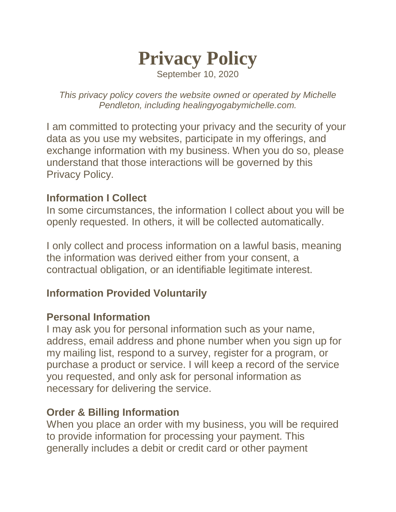

September 10, 2020

*This privacy policy covers the website owned or operated by Michelle Pendleton, including healingyogabymichelle.com.*

I am committed to protecting your privacy and the security of your data as you use my websites, participate in my offerings, and exchange information with my business. When you do so, please understand that those interactions will be governed by this Privacy Policy.

### **Information I Collect**

In some circumstances, the information I collect about you will be openly requested. In others, it will be collected automatically.

I only collect and process information on a lawful basis, meaning the information was derived either from your consent, a contractual obligation, or an identifiable legitimate interest.

# **Information Provided Voluntarily**

### **Personal Information**

I may ask you for personal information such as your name, address, email address and phone number when you sign up for my mailing list, respond to a survey, register for a program, or purchase a product or service. I will keep a record of the service you requested, and only ask for personal information as necessary for delivering the service.

### **Order & Billing Information**

When you place an order with my business, you will be required to provide information for processing your payment. This generally includes a debit or credit card or other payment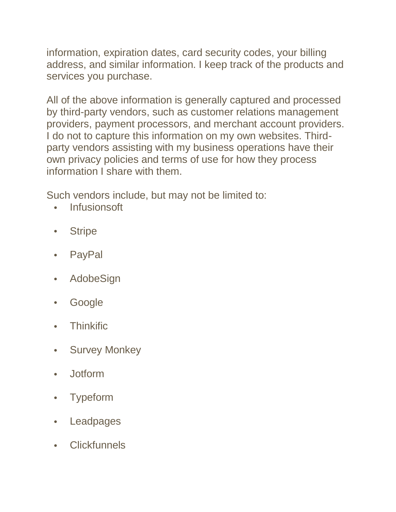information, expiration dates, card security codes, your billing address, and similar information. I keep track of the products and services you purchase.

All of the above information is generally captured and processed by third-party vendors, such as customer relations management providers, payment processors, and merchant account providers. I do not to capture this information on my own websites. Thirdparty vendors assisting with my business operations have their own privacy policies and terms of use for how they process information I share with them.

Such vendors include, but may not be limited to:

- Infusionsoft
- Stripe
- PayPal
- AdobeSign
- Google
- Thinkific
- Survey Monkey
- Jotform
- Typeform
- Leadpages
- Clickfunnels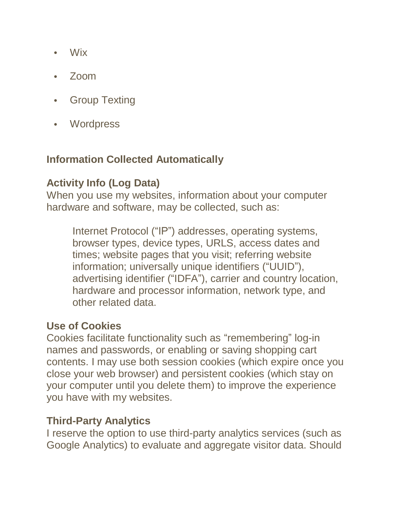- Wix
- Zoom
- Group Texting
- Wordpress

# **Information Collected Automatically**

# **Activity Info (Log Data)**

When you use my websites, information about your computer hardware and software, may be collected, such as:

Internet Protocol ("IP") addresses, operating systems, browser types, device types, URLS, access dates and times; website pages that you visit; referring website information; universally unique identifiers ("UUID"), advertising identifier ("IDFA"), carrier and country location, hardware and processor information, network type, and other related data.

# **Use of Cookies**

Cookies facilitate functionality such as "remembering" log-in names and passwords, or enabling or saving shopping cart contents. I may use both session cookies (which expire once you close your web browser) and persistent cookies (which stay on your computer until you delete them) to improve the experience you have with my websites.

# **Third-Party Analytics**

I reserve the option to use third-party analytics services (such as Google Analytics) to evaluate and aggregate visitor data. Should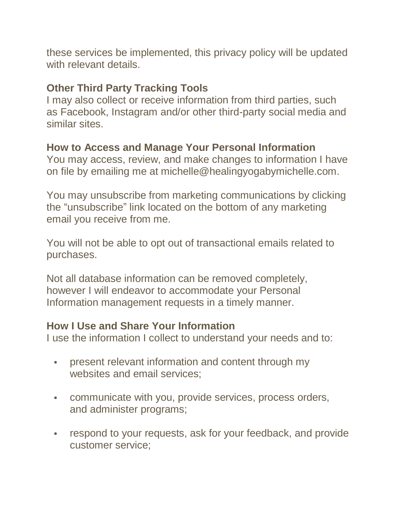these services be implemented, this privacy policy will be updated with relevant details.

# **Other Third Party Tracking Tools**

I may also collect or receive information from third parties, such as Facebook, Instagram and/or other third-party social media and similar sites.

# **How to Access and Manage Your Personal Information**

You may access, review, and make changes to information I have on file by emailing me at michelle@healingyogabymichelle.com.

You may unsubscribe from marketing communications by clicking the "unsubscribe" link located on the bottom of any marketing email you receive from me.

You will not be able to opt out of transactional emails related to purchases.

Not all database information can be removed completely, however I will endeavor to accommodate your Personal Information management requests in a timely manner.

# **How I Use and Share Your Information**

I use the information I collect to understand your needs and to:

- present relevant information and content through my websites and email services;
- communicate with you, provide services, process orders, and administer programs;
- respond to your requests, ask for your feedback, and provide customer service;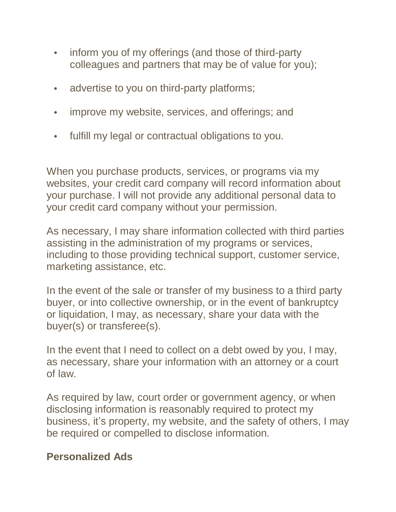- inform you of my offerings (and those of third-party colleagues and partners that may be of value for you);
- advertise to you on third-party platforms;
- improve my website, services, and offerings; and
- fulfill my legal or contractual obligations to you.

When you purchase products, services, or programs via my websites, your credit card company will record information about your purchase. I will not provide any additional personal data to your credit card company without your permission.

As necessary, I may share information collected with third parties assisting in the administration of my programs or services, including to those providing technical support, customer service, marketing assistance, etc.

In the event of the sale or transfer of my business to a third party buyer, or into collective ownership, or in the event of bankruptcy or liquidation, I may, as necessary, share your data with the buyer(s) or transferee(s).

In the event that I need to collect on a debt owed by you, I may, as necessary, share your information with an attorney or a court of law.

As required by law, court order or government agency, or when disclosing information is reasonably required to protect my business, it's property, my website, and the safety of others, I may be required or compelled to disclose information.

# **Personalized Ads**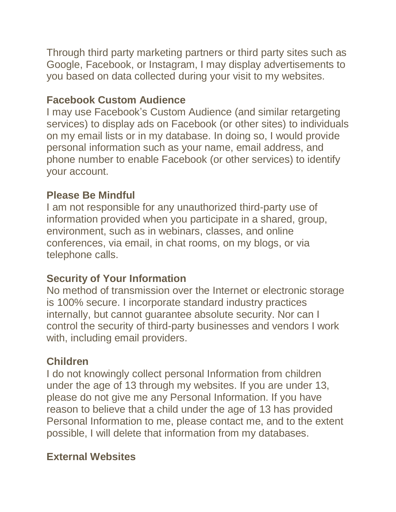Through third party marketing partners or third party sites such as Google, Facebook, or Instagram, I may display advertisements to you based on data collected during your visit to my websites.

# **Facebook Custom Audience**

I may use Facebook's Custom Audience (and similar retargeting services) to display ads on Facebook (or other sites) to individuals on my email lists or in my database. In doing so, I would provide personal information such as your name, email address, and phone number to enable Facebook (or other services) to identify your account.

### **Please Be Mindful**

I am not responsible for any unauthorized third-party use of information provided when you participate in a shared, group, environment, such as in webinars, classes, and online conferences, via email, in chat rooms, on my blogs, or via telephone calls.

### **Security of Your Information**

No method of transmission over the Internet or electronic storage is 100% secure. I incorporate standard industry practices internally, but cannot guarantee absolute security. Nor can I control the security of third-party businesses and vendors I work with, including email providers.

# **Children**

I do not knowingly collect personal Information from children under the age of 13 through my websites. If you are under 13, please do not give me any Personal Information. If you have reason to believe that a child under the age of 13 has provided Personal Information to me, please contact me, and to the extent possible, I will delete that information from my databases.

# **External Websites**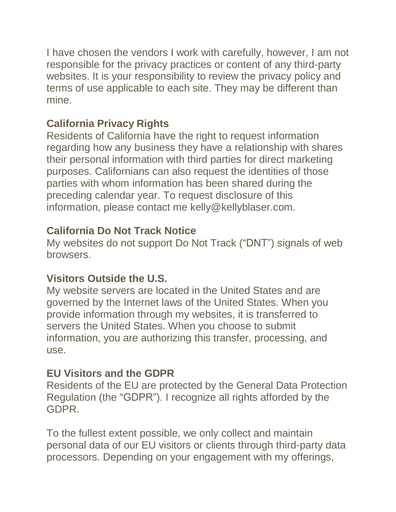I have chosen the vendors I work with carefully, however, I am not responsible for the privacy practices or content of any third-party websites. It is your responsibility to review the privacy policy and terms of use applicable to each site. They may be different than mine.

# **California Privacy Rights**

Residents of California have the right to request information regarding how any business they have a relationship with shares their personal information with third parties for direct marketing purposes. Californians can also request the identities of those parties with whom information has been shared during the preceding calendar year. To request disclosure of this information, please contact me kelly@kellyblaser.com.

# **California Do Not Track Notice**

My websites do not support Do Not Track ("DNT") signals of web browsers.

# **Visitors Outside the U.S.**

My website servers are located in the United States and are governed by the Internet laws of the United States. When you provide information through my websites, it is transferred to servers the United States. When you choose to submit information, you are authorizing this transfer, processing, and use.

# **EU Visitors and the GDPR**

Residents of the EU are protected by the General Data Protection Regulation (the "GDPR"). I recognize all rights afforded by the GDPR.

To the fullest extent possible, we only collect and maintain personal data of our EU visitors or clients through third-party data processors. Depending on your engagement with my offerings,